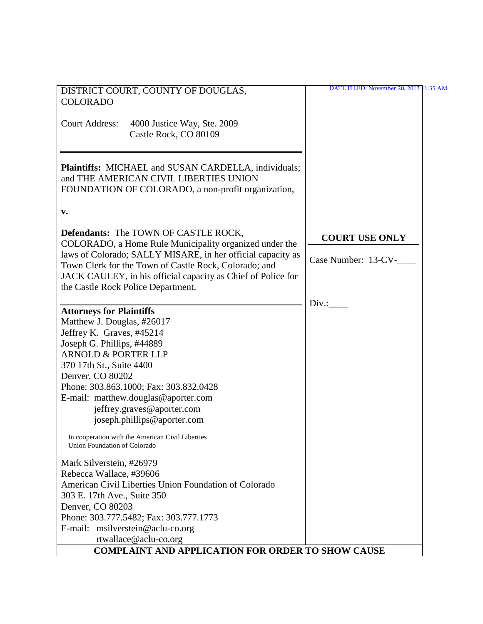| DISTRICT COURT, COUNTY OF DOUGLAS,                           | DATE FILED: November 20, 2013 11:35 AM |
|--------------------------------------------------------------|----------------------------------------|
|                                                              |                                        |
| <b>COLORADO</b>                                              |                                        |
|                                                              |                                        |
| <b>Court Address:</b><br>4000 Justice Way, Ste. 2009         |                                        |
| Castle Rock, CO 80109                                        |                                        |
|                                                              |                                        |
|                                                              |                                        |
| Plaintiffs: MICHAEL and SUSAN CARDELLA, individuals;         |                                        |
| and THE AMERICAN CIVIL LIBERTIES UNION                       |                                        |
| FOUNDATION OF COLORADO, a non-profit organization,           |                                        |
|                                                              |                                        |
|                                                              |                                        |
| v.                                                           |                                        |
|                                                              |                                        |
| <b>Defendants:</b> The TOWN OF CASTLE ROCK,                  | <b>COURT USE ONLY</b>                  |
| COLORADO, a Home Rule Municipality organized under the       |                                        |
| laws of Colorado; SALLY MISARE, in her official capacity as  | Case Number: 13-CV-                    |
| Town Clerk for the Town of Castle Rock, Colorado; and        |                                        |
| JACK CAULEY, in his official capacity as Chief of Police for |                                        |
| the Castle Rock Police Department.                           |                                        |
|                                                              |                                        |
|                                                              | $Div.$ :                               |
| <b>Attorneys for Plaintiffs</b>                              |                                        |
| Matthew J. Douglas, #26017                                   |                                        |
| Jeffrey K. Graves, #45214                                    |                                        |
| Joseph G. Phillips, #44889                                   |                                        |
| <b>ARNOLD &amp; PORTER LLP</b>                               |                                        |
| 370 17th St., Suite 4400                                     |                                        |
| Denver, CO 80202                                             |                                        |
| Phone: 303.863.1000; Fax: 303.832.0428                       |                                        |
| E-mail: matthew.douglas@aporter.com                          |                                        |
| jeffrey.graves@aporter.com                                   |                                        |
| joseph.phillips@aporter.com                                  |                                        |
|                                                              |                                        |
| In cooperation with the American Civil Liberties             |                                        |
| Union Foundation of Colorado                                 |                                        |
|                                                              |                                        |
| Mark Silverstein, #26979                                     |                                        |
| Rebecca Wallace, #39606                                      |                                        |
| American Civil Liberties Union Foundation of Colorado        |                                        |
| 303 E. 17th Ave., Suite 350                                  |                                        |
| Denver, CO 80203                                             |                                        |
| Phone: 303.777.5482; Fax: 303.777.1773                       |                                        |
| E-mail: msilverstein@aclu-co.org                             |                                        |
| rtwallace@aclu-co.org                                        |                                        |
|                                                              |                                        |
| <b>COMPLAINT AND APPLICATION FOR ORDER TO SHOW CAUSE</b>     |                                        |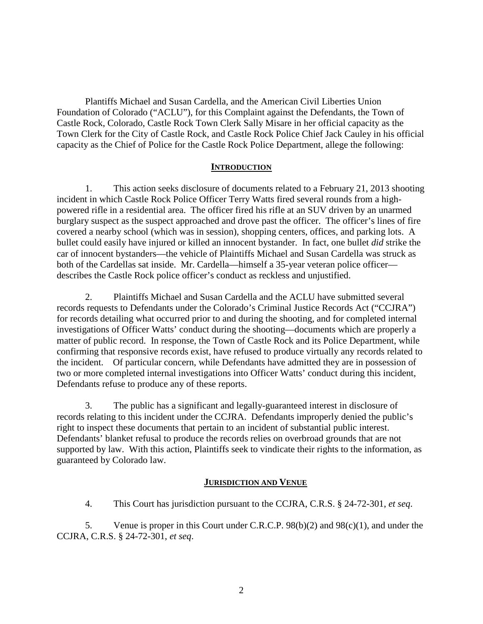Plantiffs Michael and Susan Cardella, and the American Civil Liberties Union Foundation of Colorado ("ACLU"), for this Complaint against the Defendants, the Town of Castle Rock, Colorado, Castle Rock Town Clerk Sally Misare in her official capacity as the Town Clerk for the City of Castle Rock, and Castle Rock Police Chief Jack Cauley in his official capacity as the Chief of Police for the Castle Rock Police Department, allege the following:

### **INTRODUCTION**

1. This action seeks disclosure of documents related to a February 21, 2013 shooting incident in which Castle Rock Police Officer Terry Watts fired several rounds from a highpowered rifle in a residential area. The officer fired his rifle at an SUV driven by an unarmed burglary suspect as the suspect approached and drove past the officer. The officer's lines of fire covered a nearby school (which was in session), shopping centers, offices, and parking lots. A bullet could easily have injured or killed an innocent bystander. In fact, one bullet *did* strike the car of innocent bystanders—the vehicle of Plaintiffs Michael and Susan Cardella was struck as both of the Cardellas sat inside. Mr. Cardella—himself a 35-year veteran police officer describes the Castle Rock police officer's conduct as reckless and unjustified.

2. Plaintiffs Michael and Susan Cardella and the ACLU have submitted several records requests to Defendants under the Colorado's Criminal Justice Records Act ("CCJRA") for records detailing what occurred prior to and during the shooting, and for completed internal investigations of Officer Watts' conduct during the shooting—documents which are properly a matter of public record. In response, the Town of Castle Rock and its Police Department, while confirming that responsive records exist, have refused to produce virtually any records related to the incident. Of particular concern, while Defendants have admitted they are in possession of two or more completed internal investigations into Officer Watts' conduct during this incident, Defendants refuse to produce any of these reports.

3. The public has a significant and legally-guaranteed interest in disclosure of records relating to this incident under the CCJRA. Defendants improperly denied the public's right to inspect these documents that pertain to an incident of substantial public interest. Defendants' blanket refusal to produce the records relies on overbroad grounds that are not supported by law. With this action, Plaintiffs seek to vindicate their rights to the information, as guaranteed by Colorado law.

### **JURISDICTION AND VENUE**

4. This Court has jurisdiction pursuant to the CCJRA, C.R.S. § 24-72-301, *et seq*.

5. Venue is proper in this Court under C.R.C.P. 98(b)(2) and 98(c)(1), and under the CCJRA, C.R.S. § 24-72-301, *et seq*.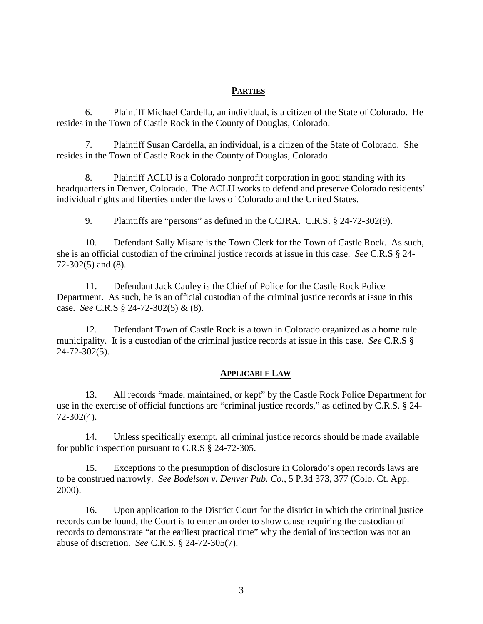### **PARTIES**

6. Plaintiff Michael Cardella, an individual, is a citizen of the State of Colorado. He resides in the Town of Castle Rock in the County of Douglas, Colorado.

7. Plaintiff Susan Cardella, an individual, is a citizen of the State of Colorado. She resides in the Town of Castle Rock in the County of Douglas, Colorado.

8. Plaintiff ACLU is a Colorado nonprofit corporation in good standing with its headquarters in Denver, Colorado. The ACLU works to defend and preserve Colorado residents' individual rights and liberties under the laws of Colorado and the United States.

9. Plaintiffs are "persons" as defined in the CCJRA. C.R.S. § 24-72-302(9).

10. Defendant Sally Misare is the Town Clerk for the Town of Castle Rock. As such, she is an official custodian of the criminal justice records at issue in this case. *See* C.R.S § 24- 72-302(5) and (8).

11. Defendant Jack Cauley is the Chief of Police for the Castle Rock Police Department. As such, he is an official custodian of the criminal justice records at issue in this case. *See* C.R.S § 24-72-302(5) & (8).

12. Defendant Town of Castle Rock is a town in Colorado organized as a home rule municipality. It is a custodian of the criminal justice records at issue in this case. *See* C.R.S § 24-72-302(5).

### **APPLICABLE LAW**

13. All records "made, maintained, or kept" by the Castle Rock Police Department for use in the exercise of official functions are "criminal justice records," as defined by C.R.S. § 24- 72-302(4).

14. Unless specifically exempt, all criminal justice records should be made available for public inspection pursuant to C.R.S § 24-72-305.

15. Exceptions to the presumption of disclosure in Colorado's open records laws are to be construed narrowly. *See Bodelson v. Denver Pub. Co.*, 5 P.3d 373, 377 (Colo. Ct. App. 2000).

16. Upon application to the District Court for the district in which the criminal justice records can be found, the Court is to enter an order to show cause requiring the custodian of records to demonstrate "at the earliest practical time" why the denial of inspection was not an abuse of discretion. *See* C.R.S. § 24-72-305(7).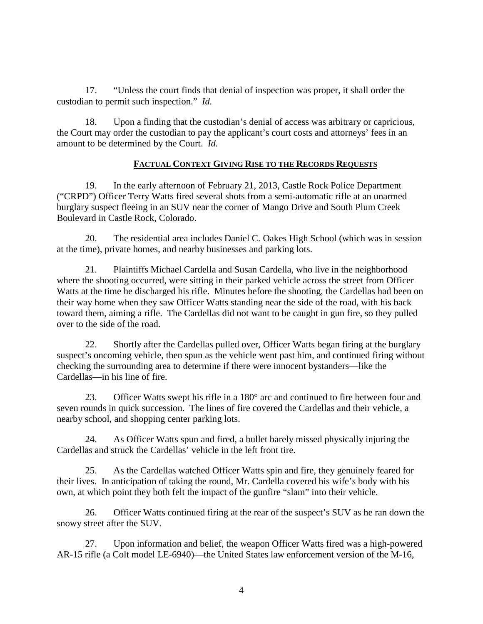17. "Unless the court finds that denial of inspection was proper, it shall order the custodian to permit such inspection." *Id.*

18. Upon a finding that the custodian's denial of access was arbitrary or capricious, the Court may order the custodian to pay the applicant's court costs and attorneys' fees in an amount to be determined by the Court. *Id.*

# **FACTUAL CONTEXT GIVING RISE TO THE RECORDS REQUESTS**

19. In the early afternoon of February 21, 2013, Castle Rock Police Department ("CRPD") Officer Terry Watts fired several shots from a semi-automatic rifle at an unarmed burglary suspect fleeing in an SUV near the corner of Mango Drive and South Plum Creek Boulevard in Castle Rock, Colorado.

20. The residential area includes Daniel C. Oakes High School (which was in session at the time), private homes, and nearby businesses and parking lots.

21. Plaintiffs Michael Cardella and Susan Cardella, who live in the neighborhood where the shooting occurred, were sitting in their parked vehicle across the street from Officer Watts at the time he discharged his rifle. Minutes before the shooting, the Cardellas had been on their way home when they saw Officer Watts standing near the side of the road, with his back toward them, aiming a rifle. The Cardellas did not want to be caught in gun fire, so they pulled over to the side of the road.

22. Shortly after the Cardellas pulled over, Officer Watts began firing at the burglary suspect's oncoming vehicle, then spun as the vehicle went past him, and continued firing without checking the surrounding area to determine if there were innocent bystanders—like the Cardellas—in his line of fire.

23. Officer Watts swept his rifle in a 180° arc and continued to fire between four and seven rounds in quick succession. The lines of fire covered the Cardellas and their vehicle, a nearby school, and shopping center parking lots.

24. As Officer Watts spun and fired, a bullet barely missed physically injuring the Cardellas and struck the Cardellas' vehicle in the left front tire.

25. As the Cardellas watched Officer Watts spin and fire, they genuinely feared for their lives. In anticipation of taking the round, Mr. Cardella covered his wife's body with his own, at which point they both felt the impact of the gunfire "slam" into their vehicle.

26. Officer Watts continued firing at the rear of the suspect's SUV as he ran down the snowy street after the SUV.

27. Upon information and belief, the weapon Officer Watts fired was a high-powered AR-15 rifle (a Colt model LE-6940)—the United States law enforcement version of the M-16,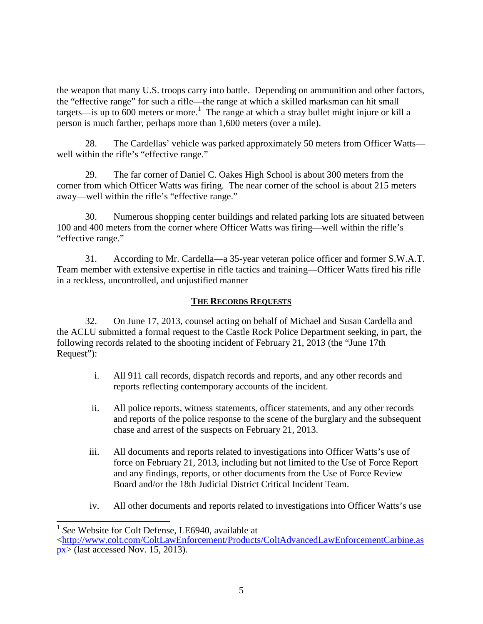the weapon that many U.S. troops carry into battle. Depending on ammunition and other factors, the "effective range" for such a rifle—the range at which a skilled marksman can hit small targets—is up to  $\overline{600}$  meters or more.<sup>1</sup> The range at which a stray bullet might injure or kill a person is much farther, perhaps more than 1,600 meters (over a mile).

28. The Cardellas' vehicle was parked approximately 50 meters from Officer Watts well within the rifle's "effective range."

29. The far corner of Daniel C. Oakes High School is about 300 meters from the corner from which Officer Watts was firing. The near corner of the school is about 215 meters away—well within the rifle's "effective range."

30. Numerous shopping center buildings and related parking lots are situated between 100 and 400 meters from the corner where Officer Watts was firing—well within the rifle's "effective range."

31. According to Mr. Cardella—a 35-year veteran police officer and former S.W.A.T. Team member with extensive expertise in rifle tactics and training—Officer Watts fired his rifle in a reckless, uncontrolled, and unjustified manner

## **THE RECORDS REQUESTS**

32. On June 17, 2013, counsel acting on behalf of Michael and Susan Cardella and the ACLU submitted a formal request to the Castle Rock Police Department seeking, in part, the following records related to the shooting incident of February 21, 2013 (the "June 17th Request"):

- i. All 911 call records, dispatch records and reports, and any other records and reports reflecting contemporary accounts of the incident.
- ii. All police reports, witness statements, officer statements, and any other records and reports of the police response to the scene of the burglary and the subsequent chase and arrest of the suspects on February 21, 2013.
- iii. All documents and reports related to investigations into Officer Watts's use of force on February 21, 2013, including but not limited to the Use of Force Report and any findings, reports, or other documents from the Use of Force Review Board and/or the 18th Judicial District Critical Incident Team.
- iv. All other documents and reports related to investigations into Officer Watts's use

<sup>&</sup>lt;sup>1</sup> See Website for Colt Defense, LE6940, available at

<sup>&</sup>lt;http://www.colt.com/ColtLawEnforcement/Products/ColtAdvancedLawEnforcementCarbine.as  $px$  (last accessed Nov. 15, 2013).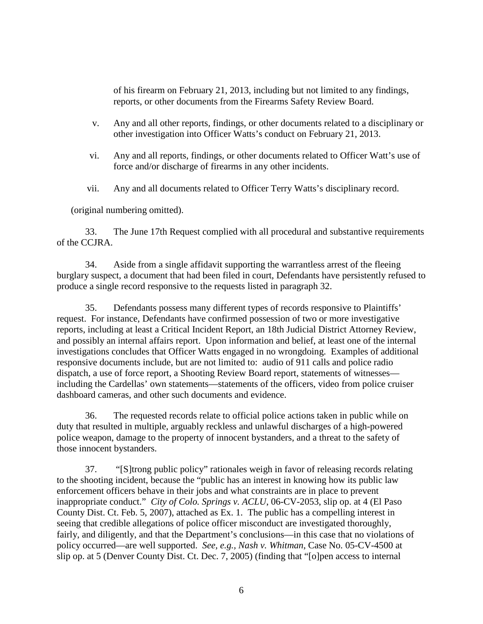of his firearm on February 21, 2013, including but not limited to any findings, reports, or other documents from the Firearms Safety Review Board.

- v. Any and all other reports, findings, or other documents related to a disciplinary or other investigation into Officer Watts's conduct on February 21, 2013.
- vi. Any and all reports, findings, or other documents related to Officer Watt's use of force and/or discharge of firearms in any other incidents.
- vii. Any and all documents related to Officer Terry Watts's disciplinary record.

(original numbering omitted).

33. The June 17th Request complied with all procedural and substantive requirements of the CCJRA.

34. Aside from a single affidavit supporting the warrantless arrest of the fleeing burglary suspect, a document that had been filed in court, Defendants have persistently refused to produce a single record responsive to the requests listed in paragraph 32.

35. Defendants possess many different types of records responsive to Plaintiffs' request. For instance, Defendants have confirmed possession of two or more investigative reports, including at least a Critical Incident Report, an 18th Judicial District Attorney Review, and possibly an internal affairs report. Upon information and belief, at least one of the internal investigations concludes that Officer Watts engaged in no wrongdoing. Examples of additional responsive documents include, but are not limited to: audio of 911 calls and police radio dispatch, a use of force report, a Shooting Review Board report, statements of witnesses including the Cardellas' own statements—statements of the officers, video from police cruiser dashboard cameras, and other such documents and evidence.

36. The requested records relate to official police actions taken in public while on duty that resulted in multiple, arguably reckless and unlawful discharges of a high-powered police weapon, damage to the property of innocent bystanders, and a threat to the safety of those innocent bystanders.

37. "[S]trong public policy" rationales weigh in favor of releasing records relating to the shooting incident, because the "public has an interest in knowing how its public law enforcement officers behave in their jobs and what constraints are in place to prevent inappropriate conduct." *City of Colo. Springs v. ACLU*, 06-CV-2053, slip op. at 4 (El Paso County Dist. Ct. Feb. 5, 2007), attached as Ex. 1. The public has a compelling interest in seeing that credible allegations of police officer misconduct are investigated thoroughly, fairly, and diligently, and that the Department's conclusions—in this case that no violations of policy occurred—are well supported. *See, e.g., Nash v. Whitman*, Case No. 05-CV-4500 at slip op. at 5 (Denver County Dist. Ct. Dec. 7, 2005) (finding that "[o]pen access to internal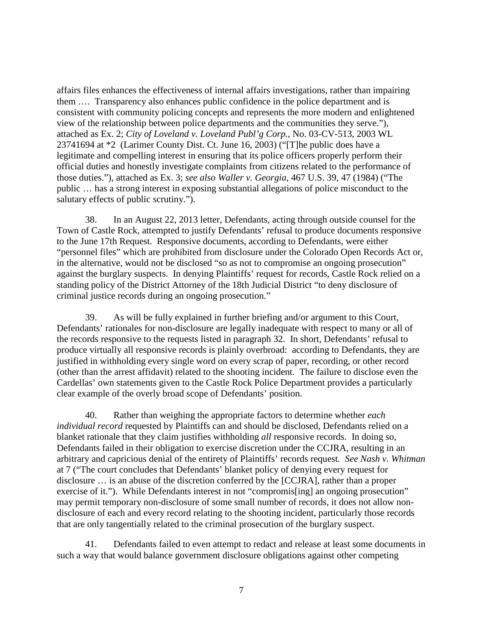affairs files enhances the effectiveness of internal affairs investigations, rather than impairing them …. Transparency also enhances public confidence in the police department and is consistent with community policing concepts and represents the more modern and enlightened view of the relationship between police departments and the communities they serve."), attached as Ex. 2; *City of Loveland v. Loveland Publ'g Corp.*, No. 03-CV-513, 2003 WL 23741694 at \*2 (Larimer County Dist. Ct. June 16, 2003) ("[T]he public does have a legitimate and compelling interest in ensuring that its police officers properly perform their official duties and honestly investigate complaints from citizens related to the performance of those duties."), attached as Ex. 3; *see also Waller v. Georgia*, 467 U.S. 39, 47 (1984) ("The public … has a strong interest in exposing substantial allegations of police misconduct to the salutary effects of public scrutiny.").

38. In an August 22, 2013 letter, Defendants, acting through outside counsel for the Town of Castle Rock, attempted to justify Defendants' refusal to produce documents responsive to the June 17th Request. Responsive documents, according to Defendants, were either "personnel files" which are prohibited from disclosure under the Colorado Open Records Act or, in the alternative, would not be disclosed "so as not to compromise an ongoing prosecution" against the burglary suspects. In denying Plaintiffs' request for records, Castle Rock relied on a standing policy of the District Attorney of the 18th Judicial District "to deny disclosure of criminal justice records during an ongoing prosecution."

39. As will be fully explained in further briefing and/or argument to this Court, Defendants' rationales for non-disclosure are legally inadequate with respect to many or all of the records responsive to the requests listed in paragraph 32. In short, Defendants' refusal to produce virtually all responsive records is plainly overbroad: according to Defendants, they are justified in withholding every single word on every scrap of paper, recording, or other record (other than the arrest affidavit) related to the shooting incident. The failure to disclose even the Cardellas' own statements given to the Castle Rock Police Department provides a particularly clear example of the overly broad scope of Defendants' position.

40. Rather than weighing the appropriate factors to determine whether *each individual record* requested by Plaintiffs can and should be disclosed, Defendants relied on a blanket rationale that they claim justifies withholding *all* responsive records. In doing so, Defendants failed in their obligation to exercise discretion under the CCJRA, resulting in an arbitrary and capricious denial of the entirety of Plaintiffs' records request*. See Nash v. Whitman* at 7 ("The court concludes that Defendants' blanket policy of denying every request for disclosure … is an abuse of the discretion conferred by the [CCJRA], rather than a proper exercise of it."). While Defendants interest in not "compromis[ing] an ongoing prosecution" may permit temporary non-disclosure of some small number of records, it does not allow nondisclosure of each and every record relating to the shooting incident, particularly those records that are only tangentially related to the criminal prosecution of the burglary suspect.

41. Defendants failed to even attempt to redact and release at least some documents in such a way that would balance government disclosure obligations against other competing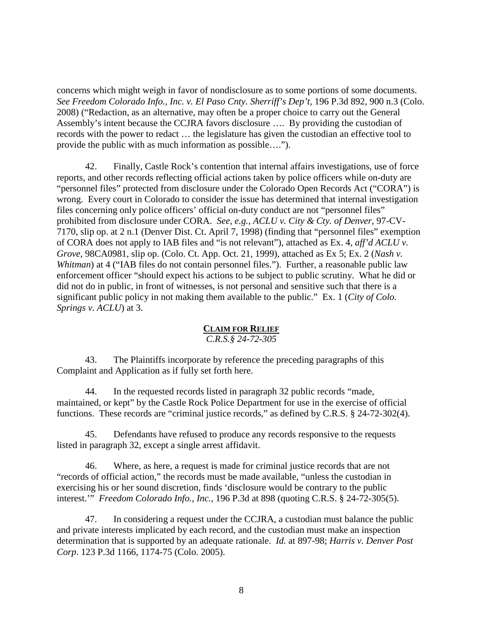concerns which might weigh in favor of nondisclosure as to some portions of some documents. *See Freedom Colorado Info., Inc. v. El Paso Cnty. Sherriff's Dep't,* 196 P.3d 892, 900 n.3 (Colo. 2008) ("Redaction, as an alternative, may often be a proper choice to carry out the General Assembly's intent because the CCJRA favors disclosure …. By providing the custodian of records with the power to redact … the legislature has given the custodian an effective tool to provide the public with as much information as possible….").

42. Finally, Castle Rock's contention that internal affairs investigations, use of force reports, and other records reflecting official actions taken by police officers while on-duty are "personnel files" protected from disclosure under the Colorado Open Records Act ("CORA") is wrong. Every court in Colorado to consider the issue has determined that internal investigation files concerning only police officers' official on-duty conduct are not "personnel files" prohibited from disclosure under CORA. *See, e.g., ACLU v. City & Cty. of Denver*, 97-CV-7170, slip op. at 2 n.1 (Denver Dist. Ct. April 7, 1998) (finding that "personnel files" exemption of CORA does not apply to IAB files and "is not relevant"), attached as Ex. 4, *aff'd ACLU v. Grove*, 98CA0981, slip op. (Colo. Ct. App. Oct. 21, 1999), attached as Ex 5; Ex. 2 (*Nash v. Whitman*) at 4 ("IAB files do not contain personnel files."). Further, a reasonable public law enforcement officer "should expect his actions to be subject to public scrutiny. What he did or did not do in public, in front of witnesses, is not personal and sensitive such that there is a significant public policy in not making them available to the public." Ex. 1 (*City of Colo. Springs v. ACLU*) at 3.

## **CLAIM FOR RELIEF**

### *C.R.S.§ 24-72-305*

43. The Plaintiffs incorporate by reference the preceding paragraphs of this Complaint and Application as if fully set forth here.

44. In the requested records listed in paragraph 32 public records "made, maintained, or kept" by the Castle Rock Police Department for use in the exercise of official functions. These records are "criminal justice records," as defined by C.R.S. § 24-72-302(4).

45. Defendants have refused to produce any records responsive to the requests listed in paragraph 32, except a single arrest affidavit.

46. Where, as here, a request is made for criminal justice records that are not "records of official action," the records must be made available, "unless the custodian in exercising his or her sound discretion, finds 'disclosure would be contrary to the public interest.'" *Freedom Colorado Info., Inc.*, 196 P.3d at 898 (quoting C.R.S. § 24-72-305(5).

47. In considering a request under the CCJRA, a custodian must balance the public and private interests implicated by each record, and the custodian must make an inspection determination that is supported by an adequate rationale. *Id.* at 897-98; *Harris v. Denver Post Corp*. 123 P.3d 1166, 1174-75 (Colo. 2005).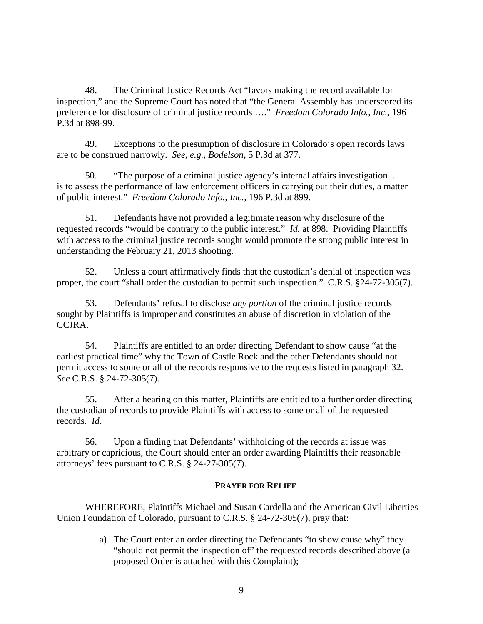48. The Criminal Justice Records Act "favors making the record available for inspection," and the Supreme Court has noted that "the General Assembly has underscored its preference for disclosure of criminal justice records …." *Freedom Colorado Info., Inc.,* 196 P.3d at 898-99.

49. Exceptions to the presumption of disclosure in Colorado's open records laws are to be construed narrowly. *See, e.g., Bodelson*, 5 P.3d at 377.

50. "The purpose of a criminal justice agency's internal affairs investigation . . . is to assess the performance of law enforcement officers in carrying out their duties, a matter of public interest." *Freedom Colorado Info., Inc.,* 196 P.3d at 899.

51. Defendants have not provided a legitimate reason why disclosure of the requested records "would be contrary to the public interest." *Id.* at 898. Providing Plaintiffs with access to the criminal justice records sought would promote the strong public interest in understanding the February 21, 2013 shooting.

52. Unless a court affirmatively finds that the custodian's denial of inspection was proper, the court "shall order the custodian to permit such inspection." C.R.S. §24-72-305(7).

53. Defendants' refusal to disclose *any portion* of the criminal justice records sought by Plaintiffs is improper and constitutes an abuse of discretion in violation of the CCJRA.

54. Plaintiffs are entitled to an order directing Defendant to show cause "at the earliest practical time" why the Town of Castle Rock and the other Defendants should not permit access to some or all of the records responsive to the requests listed in paragraph 32. *See* C.R.S. § 24-72-305(7).

55. After a hearing on this matter, Plaintiffs are entitled to a further order directing the custodian of records to provide Plaintiffs with access to some or all of the requested records. *Id*.

56. Upon a finding that Defendants' withholding of the records at issue was arbitrary or capricious, the Court should enter an order awarding Plaintiffs their reasonable attorneys' fees pursuant to C.R.S. § 24-27-305(7).

### **PRAYER FOR RELIEF**

WHEREFORE, Plaintiffs Michael and Susan Cardella and the American Civil Liberties Union Foundation of Colorado, pursuant to C.R.S. § 24-72-305(7), pray that:

> a) The Court enter an order directing the Defendants "to show cause why" they "should not permit the inspection of" the requested records described above (a proposed Order is attached with this Complaint);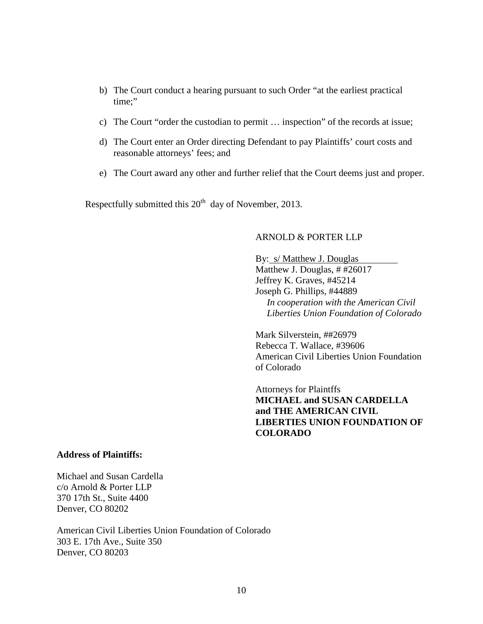- b) The Court conduct a hearing pursuant to such Order "at the earliest practical time:"
- c) The Court "order the custodian to permit … inspection" of the records at issue;
- d) The Court enter an Order directing Defendant to pay Plaintiffs' court costs and reasonable attorneys' fees; and
- e) The Court award any other and further relief that the Court deems just and proper.

Respectfully submitted this  $20<sup>th</sup>$  day of November, 2013.

### ARNOLD & PORTER LLP

By: s/ Matthew J. Douglas Matthew J. Douglas, # #26017 Jeffrey K. Graves, #45214 Joseph G. Phillips, #44889 *In cooperation with the American Civil Liberties Union Foundation of Colorado*

Mark Silverstein, ##26979 Rebecca T. Wallace, #39606 American Civil Liberties Union Foundation of Colorado

Attorneys for Plaintffs **MICHAEL and SUSAN CARDELLA and THE AMERICAN CIVIL LIBERTIES UNION FOUNDATION OF COLORADO**

### **Address of Plaintiffs:**

Michael and Susan Cardella c/o Arnold & Porter LLP 370 17th St., Suite 4400 Denver, CO 80202

American Civil Liberties Union Foundation of Colorado 303 E. 17th Ave., Suite 350 Denver, CO 80203